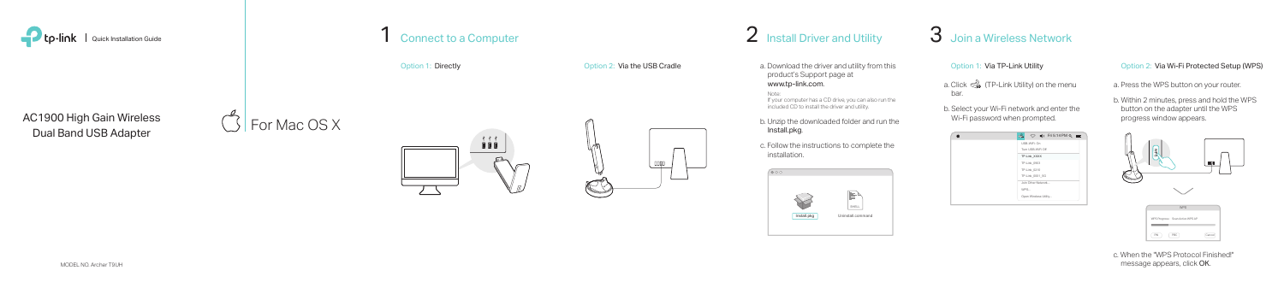

a. Download the driver and utility from this product's Support page at www.tp-link.com.

Note: If your computer has a CD drive, you can also run the included CD to install the driver and utility.

b. Unzip the downloaded folder and run the Install.pkg.

> c. When the "WPS Protocol Finished!" message appears, click OK.

c. Follow the instructions to complete the installation.

For Mac OS X



Option 1: Directly **Option 2: Via the USB Cradle** 

 $\mathbb{C}^4$ 

 $\Box$ 









## Option 2: Via Wi-Fi Protected Setup (WPS)

- a. Press the WPS button on your router.
- b. Within 2 minutes, press and hold the WPS button on the adapter until the WPS progress window appears.

AC1900 High Gain Wireless Dual Band USB Adapter

- 
- 
- 
- 



- Option 1: Via TP-Link Utility
- a. Click  $\leqslant$  (TP-Link Utility) on the menu bar.
- b. Select your Wi-Fi network and enter the Wi-Fi password when prompted.